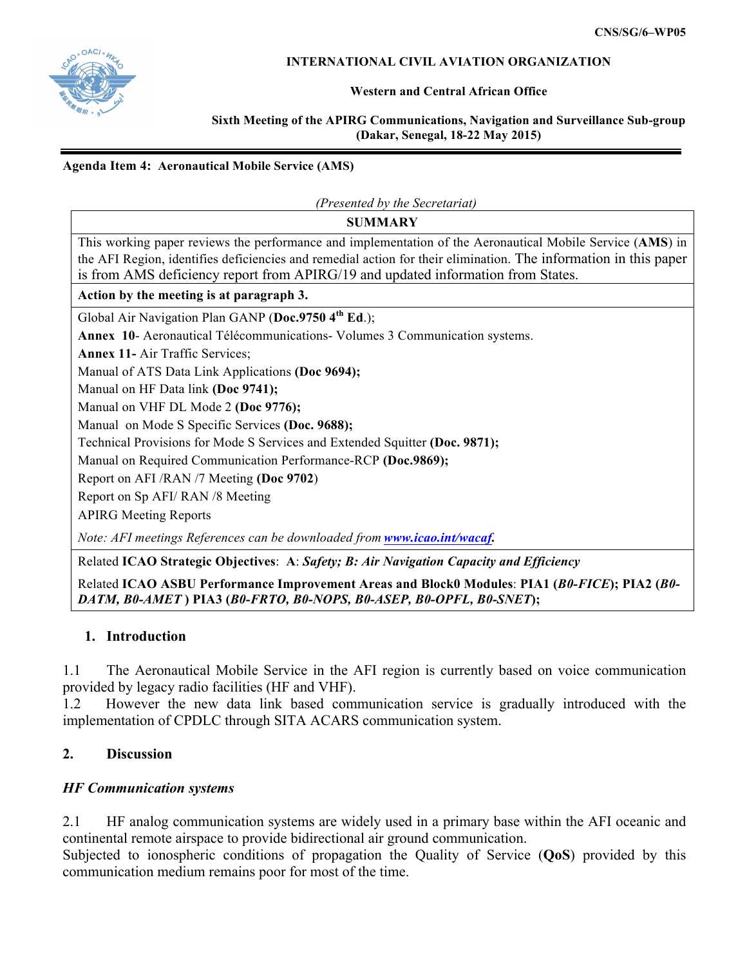

#### **INTERNATIONAL CIVIL AVIATION ORGANIZATION**

#### **Western and Central African Office**

#### **Sixth Meeting of the APIRG Communications, Navigation and Surveillance Sub-group (Dakar, Senegal, 18-22 May 2015)**

#### **Agenda Item 4: Aeronautical Mobile Service (AMS)**

*(Presented by the Secretariat)*

**SUMMARY**

This working paper reviews the performance and implementation of the Aeronautical Mobile Service (**AMS**) in the AFI Region, identifies deficiencies and remedial action for their elimination. The information in this paper is from AMS deficiency report from APIRG/19 and updated information from States.

#### **Action by the meeting is at paragraph 3.**

Global Air Navigation Plan GANP (**Doc.9750 4th Ed**.);

**Annex 10**- Aeronautical Télécommunications- Volumes 3 Communication systems.

**Annex 11-** Air Traffic Services;

Manual of ATS Data Link Applications **(Doc 9694);**

Manual on HF Data link **(Doc 9741);**

Manual on VHF DL Mode 2 **(Doc 9776);**

Manual on Mode S Specific Services **(Doc. 9688);**

Technical Provisions for Mode S Services and Extended Squitter **(Doc. 9871);**

Manual on Required Communication Performance-RCP **(Doc.9869);**

Report on AFI /RAN /7 Meeting **(Doc 9702**)

Report on Sp AFI/ RAN /8 Meeting

APIRG Meeting Reports

*Note: AFI meetings References can be downloaded from www.icao.int/wacaf.*

Related **ICAO Strategic Objectives**: **A**: *Safety; B: Air Navigation Capacity and Efficiency*

Related **ICAO ASBU Performance Improvement Areas and Block0 Modules**: **PIA1 (***B0-FICE***); PIA2 (***B0- DATM, B0-AMET* **) PIA3 (***B0-FRTO, B0-NOPS, B0-ASEP, B0-OPFL, B0-SNET***);**

### **1. Introduction**

1.1 The Aeronautical Mobile Service in the AFI region is currently based on voice communication provided by legacy radio facilities (HF and VHF).

1.2 However the new data link based communication service is gradually introduced with the implementation of CPDLC through SITA ACARS communication system.

### **2. Discussion**

### *HF Communication systems*

2.1 HF analog communication systems are widely used in a primary base within the AFI oceanic and continental remote airspace to provide bidirectional air ground communication.

Subjected to ionospheric conditions of propagation the Quality of Service (**QoS**) provided by this communication medium remains poor for most of the time.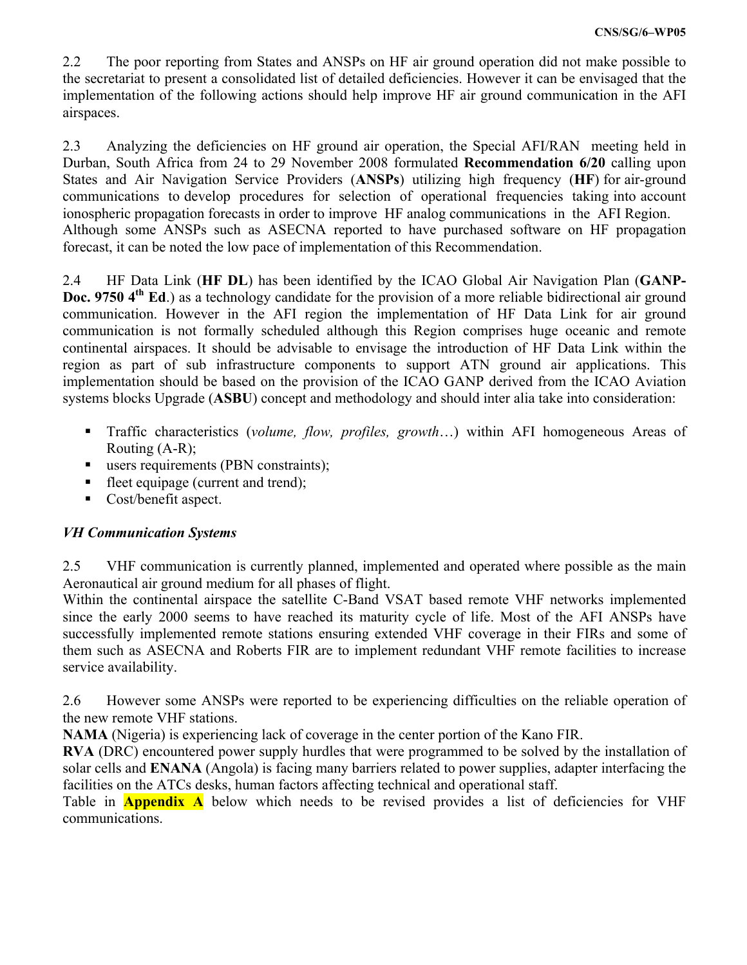2.2 The poor reporting from States and ANSPs on HF air ground operation did not make possible to the secretariat to present a consolidated list of detailed deficiencies. However it can be envisaged that the implementation of the following actions should help improve HF air ground communication in the AFI airspaces.

2.3 Analyzing the deficiencies on HF ground air operation, the Special AFI/RAN meeting held in Durban, South Africa from 24 to 29 November 2008 formulated **Recommendation 6/20** calling upon States and Air Navigation Service Providers (**ANSPs**) utilizing high frequency (**HF**) for air-ground communications to develop procedures for selection of operational frequencies taking into account ionospheric propagation forecasts in order to improve HF analog communications in the AFI Region. Although some ANSPs such as ASECNA reported to have purchased software on HF propagation forecast, it can be noted the low pace of implementation of this Recommendation.

2.4 HF Data Link (**HF DL**) has been identified by the ICAO Global Air Navigation Plan (**GANP-Doc. 9750** 4<sup>th</sup> **Ed**.) as a technology candidate for the provision of a more reliable bidirectional air ground communication. However in the AFI region the implementation of HF Data Link for air ground communication is not formally scheduled although this Region comprises huge oceanic and remote continental airspaces. It should be advisable to envisage the introduction of HF Data Link within the region as part of sub infrastructure components to support ATN ground air applications. This implementation should be based on the provision of the ICAO GANP derived from the ICAO Aviation systems blocks Upgrade (**ASBU**) concept and methodology and should inter alia take into consideration:

- Traffic characteristics (*volume, flow, profiles, growth...*) within AFI homogeneous Areas of Routing (A-R);
- users requirements (PBN constraints);
- fleet equipage (current and trend);
- Cost/benefit aspect.

## *VH Communication Systems*

2.5 VHF communication is currently planned, implemented and operated where possible as the main Aeronautical air ground medium for all phases of flight.

Within the continental airspace the satellite C-Band VSAT based remote VHF networks implemented since the early 2000 seems to have reached its maturity cycle of life. Most of the AFI ANSPs have successfully implemented remote stations ensuring extended VHF coverage in their FIRs and some of them such as ASECNA and Roberts FIR are to implement redundant VHF remote facilities to increase service availability.

2.6 However some ANSPs were reported to be experiencing difficulties on the reliable operation of the new remote VHF stations.

**NAMA** (Nigeria) is experiencing lack of coverage in the center portion of the Kano FIR.

**RVA** (DRC) encountered power supply hurdles that were programmed to be solved by the installation of solar cells and **ENANA** (Angola) is facing many barriers related to power supplies, adapter interfacing the facilities on the ATCs desks, human factors affecting technical and operational staff.

Table in **Appendix A** below which needs to be revised provides a list of deficiencies for VHF communications.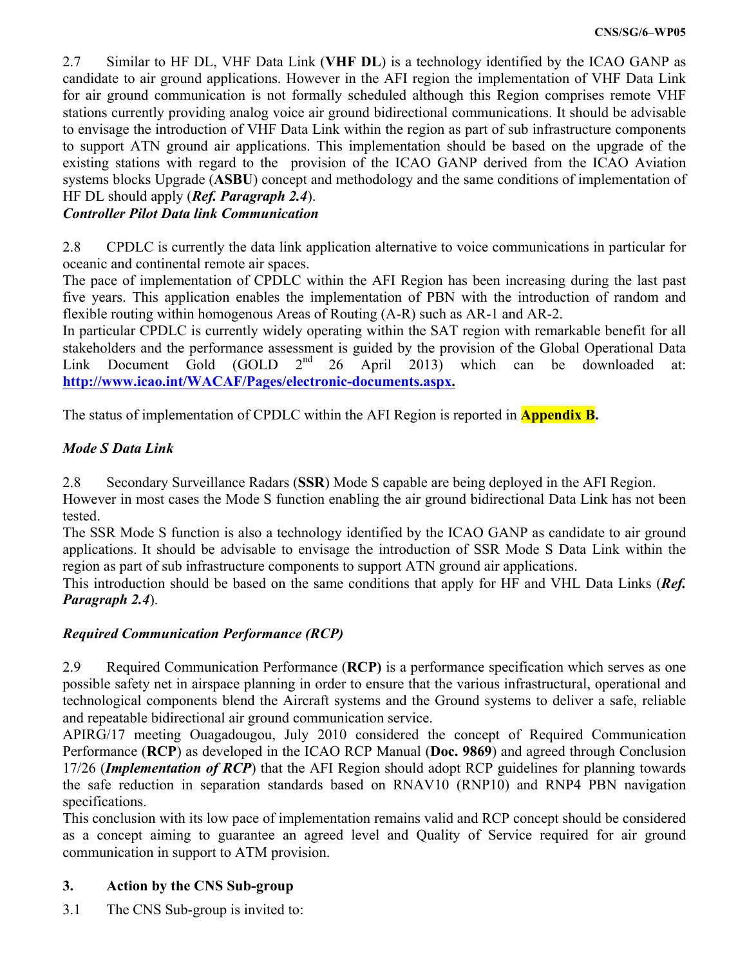2.7 Similar to HF DL, VHF Data Link (**VHF DL**) is a technology identified by the ICAO GANP as candidate to air ground applications. However in the AFI region the implementation of VHF Data Link for air ground communication is not formally scheduled although this Region comprises remote VHF stations currently providing analog voice air ground bidirectional communications. It should be advisable to envisage the introduction of VHF Data Link within the region as part of sub infrastructure components to support ATN ground air applications. This implementation should be based on the upgrade of the existing stations with regard to the provision of the ICAO GANP derived from the ICAO Aviation systems blocks Upgrade (**ASBU**) concept and methodology and the same conditions of implementation of HF DL should apply (*Ref. Paragraph 2.4*).

# *Controller Pilot Data link Communication*

2.8 CPDLC is currently the data link application alternative to voice communications in particular for oceanic and continental remote air spaces.

The pace of implementation of CPDLC within the AFI Region has been increasing during the last past five years. This application enables the implementation of PBN with the introduction of random and flexible routing within homogenous Areas of Routing (A-R) such as AR-1 and AR-2.

In particular CPDLC is currently widely operating within the SAT region with remarkable benefit for all stakeholders and the performance assessment is guided by the provision of the Global Operational Data<br>Link Document Gold (GOLD  $2<sup>nd</sup>$  26 April 2013) which can be downloaded at: Link Document Gold (GOLD  $2^{nd}$  26 April 2013) which can be downloaded at: **http://www.icao.int/WACAF/Pages/electronic-documents.aspx.**

The status of implementation of CPDLC within the AFI Region is reported in **Appendix B.**

## *Mode S Data Link*

2.8 Secondary Surveillance Radars (**SSR**) Mode S capable are being deployed in the AFI Region.

However in most cases the Mode S function enabling the air ground bidirectional Data Link has not been tested.

The SSR Mode S function is also a technology identified by the ICAO GANP as candidate to air ground applications. It should be advisable to envisage the introduction of SSR Mode S Data Link within the region as part of sub infrastructure components to support ATN ground air applications.

This introduction should be based on the same conditions that apply for HF and VHL Data Links (*Ref. Paragraph 2.4*).

# *Required Communication Performance (RCP)*

2.9 Required Communication Performance (**RCP)** is a performance specification which serves as one possible safety net in airspace planning in order to ensure that the various infrastructural, operational and technological components blend the Aircraft systems and the Ground systems to deliver a safe, reliable and repeatable bidirectional air ground communication service.

APIRG/17 meeting Ouagadougou, July 2010 considered the concept of Required Communication Performance (**RCP**) as developed in the ICAO RCP Manual (**Doc. 9869**) and agreed through Conclusion 17/26 (*Implementation of RCP*) that the AFI Region should adopt RCP guidelines for planning towards the safe reduction in separation standards based on RNAV10 (RNP10) and RNP4 PBN navigation specifications.

This conclusion with its low pace of implementation remains valid and RCP concept should be considered as a concept aiming to guarantee an agreed level and Quality of Service required for air ground communication in support to ATM provision.

# **3. Action by the CNS Sub-group**

3.1 The CNS Sub-group is invited to: